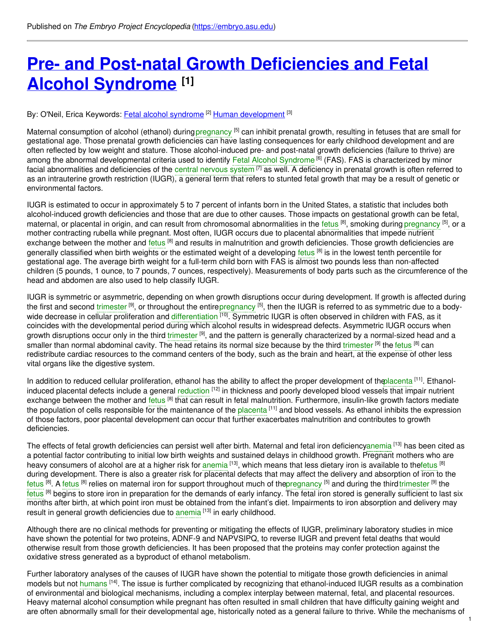# **Pre- and Post-natal Growth [Deficiencies](https://embryo.asu.edu/pages/pre-and-post-natal-growth-deficiencies-and-fetal-alcohol-syndrome) and Fetal Alcohol Syndrome [1]**

### By: O'Neil, Erica Keywords: <u>Fetal alcohol [syndrome](https://embryo.asu.edu/keywords/fetal-alcohol-syndrome)</u> <sup>[2]</sup> <u>Human [development](https://embryo.asu.edu/keywords/human-development)</u> [<sup>3]</sup>

Maternal consumption of alcohol (ethanol) during[pregnancy](https://embryo.asu.edu/search?text=pregnancy) <sup>[5]</sup> can inhibit prenatal growth, resulting in fetuses that are small for gestational age. Those prenatal growth deficiencies can have lasting consequences for early childhood development and are often reflected by low weight and stature. Those alcohol-induced pre- and post-natal growth deficiencies (failure to thrive) are among the abnormal developmental criteria used to identify Fetal Alcohol [Syndrome](https://embryo.asu.edu/search?text=Fetal%20Alcohol%20Syndrome) <sup>[6]</sup> (FAS). FAS is characterized by minor facial abnormalities and deficiencies of the central [nervous](https://embryo.asu.edu/search?text=central%20nervous%20system) system <sup>[7]</sup> as well. A deficiency in prenatal growth is often referred to as an intrauterine growth restriction (IUGR), a general term that refers to stunted fetal growth that may be a result of genetic or environmental factors.

IUGR is estimated to occur in approximately 5 to 7 percent of infants born in the United States, a statistic that includes both alcohol-induced growth deficiencies and those that are due to other causes. Those impacts on gestational growth can be fetal, maternal, or placental in origin, and can result from chromosomal abnormalities in the [fetus](https://embryo.asu.edu/search?text=fetus) <sup>[8]</sup>, smoking during [pregnancy](https://embryo.asu.edu/search?text=pregnancy) <sup>[5]</sup>, or a mother contracting rubella while pregnant. Most often, IUGR occurs due to placental abnormalities that impede nutrient exchange between the mother and [fetus](https://embryo.asu.edu/search?text=fetus) <sup>[8]</sup> and results in malnutrition and growth deficiencies. Those growth deficiencies are generally classified when birth weights or the estimated weight of a developing [fetus](https://embryo.asu.edu/search?text=fetus) <sup>[8]</sup> is in the lowest tenth percentile for gestational age. The average birth weight for a full-term child born with FAS is almost two pounds less than non-affected children (5 pounds, 1 ounce, to 7 pounds, 7 ounces, respectively). Measurements of body parts such as the circumference of the head and abdomen are also used to help classify IUGR.

IUGR is symmetric or asymmetric, depending on when growth disruptions occur during development. If growth is affected during the first and second [trimester](https://embryo.asu.edu/search?text=trimester) <sup>[9]</sup>, or throughout the entire[pregnancy](https://embryo.asu.edu/search?text=pregnancy) <sup>[5]</sup>, then the IUGR is referred to as symmetric due to a bodywide decrease in cellular proliferation and [differentiation](https://embryo.asu.edu/search?text=differentiation) <sup>[10]</sup>. Symmetric IUGR is often observed in children with FAS, as it coincides with the developmental period during which alcohol results in widespread defects. Asymmetric IUGR occurs when growth disruptions occur only in the third [trimester](https://embryo.asu.edu/search?text=trimester) <sup>[9]</sup>, and the pattern is generally characterized by a normal-sized head and a smaller than normal abdominal cavity. The head retains its normal size because by the third [trimester](https://embryo.asu.edu/search?text=trimester) <sup>[9]</sup> the [fetus](https://embryo.asu.edu/search?text=fetus) <sup>[8]</sup> can redistribute cardiac resources to the command centers of the body, such as the brain and heart, at the expense of other less vital organs like the digestive system.

In addition to reduced cellular proliferation, ethanol has the ability to affect the proper development of th[eplacenta](https://embryo.asu.edu/search?text=placenta) <sup>[11]</sup>. Ethanolinduced placental defects include a general [reduction](https://embryo.asu.edu/search?text=reduction) <sup>[12]</sup> in thickness and poorly developed blood vessels that impair nutrient exchange between the mother and [fetus](https://embryo.asu.edu/search?text=fetus) <sup>[8]</sup> that can result in fetal malnutrition. Furthermore, insulin-like growth factors mediate the population of cells responsible for the maintenance of the <mark>[placenta](https://embryo.asu.edu/search?text=placenta) [11]</mark> and blood vessels. As ethanol inhibits the expression of those factors, poor placental development can occur that further exacerbates malnutrition and contributes to growth deficiencies.

The effects of fetal growth deficiencies can persist well after birth. Maternal and fetal iron deficienc[yanemia](https://embryo.asu.edu/search?text=anemia) <sup>[13]</sup> has been cited as a potential factor contributing to initial low birth weights and sustained delays in childhood growth. Pregnant mothers who are heavy consumers of alcohol are at a higher risk for [anemia](https://embryo.asu.edu/search?text=anemia) <sup>[13]</sup>, which means that less dietary iron is available to the<mark>fetus [8]</mark> during development. There is also a greater risk for placental defects that may affect the delivery and absorption of iron to the [fetus](https://embryo.asu.edu/search?text=fetus) <sup>[8]</sup>. A fetus <sup>[8]</sup> relies on maternal iron for support throughout much of the<mark>pregnancy <sup>[5]</sup> and during the third[trimester](https://embryo.asu.edu/search?text=trimester) <sup>[9]</sup> the</mark> [fetus](https://embryo.asu.edu/search?text=fetus) <sup>[8]</sup> begins to store iron in preparation for the demands of early infancy. The fetal iron stored is generally sufficient to last six months after birth, at which point iron must be obtained from the infant's diet. Impairments to iron absorption and delivery may result in general growth deficiencies due to [anemia](https://embryo.asu.edu/search?text=anemia) [13] in early childhood.

Although there are no clinical methods for preventing or mitigating the effects of IUGR, preliminary laboratory studies in mice have shown the potential for two proteins, ADNF-9 and NAPVSIPQ, to reverse IUGR and prevent fetal deaths that would otherwise result from those growth deficiencies. It has been proposed that the proteins may confer protection against the oxidative stress generated as a byproduct of ethanol metabolism.

Further laboratory analyses of the causes of IUGR have shown the potential to mitigate those growth deficiencies in animal models but not [humans](https://embryo.asu.edu/search?text=humans) [14]. The issue is further complicated by recognizing that ethanol-induced IUGR results as a combination of environmental and biological mechanisms, including a complex interplay between maternal, fetal, and placental resources. Heavy maternal alcohol consumption while pregnant has often resulted in small children that have difficulty gaining weight and are often abnormally small for their developmental age, historically noted as a general failure to thrive. While the mechanisms of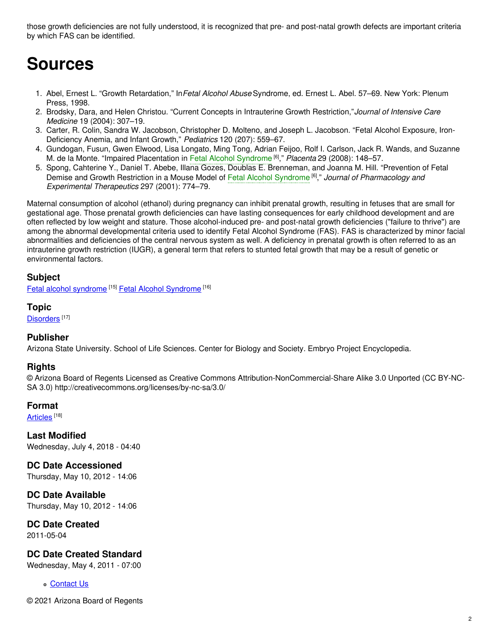those growth deficiencies are not fully understood, it is recognized that pre- and post-natal growth defects are important criteria by which FAS can be identified.

# **Sources**

- 1. Abel, Ernest L. "Growth Retardation," In*Fetal Alcohol Abuse* Syndrome, ed. Ernest L. Abel. 57–69. New York: Plenum Press, 1998.
- 2. Brodsky, Dara, and Helen Christou. "Current Concepts in Intrauterine Growth Restriction,"*Journal of Intensive Care Medicine* 19 (2004): 307–19.
- 3. Carter, R. Colin, Sandra W. Jacobson, Christopher D. Molteno, and Joseph L. Jacobson. "Fetal Alcohol Exposure, Iron-Deficiency Anemia, and Infant Growth," *Pediatrics* 120 (207): 559–67.
- 4. Gundogan, Fusun, Gwen Elwood, Lisa Longato, Ming Tong, Adrian Feijoo, Rolf I. Carlson, Jack R. Wands, and Suzanne M. de la Monte. "Impaired Placentation in Fetal Alcohol [Syndrome](https://embryo.asu.edu/search?text=Fetal%20Alcohol%20Syndrome) [6] ," *Placenta* 29 (2008): 148–57.
- 5. Spong, Cahterine Y., Daniel T. Abebe, Illana Gozes, Doublas E. Brenneman, and Joanna M. Hill. "Prevention of Fetal Demise and Growth Restriction in a Mouse Model of Fetal Alcohol [Syndrome](https://embryo.asu.edu/search?text=Fetal%20Alcohol%20Syndrome) [6] ," *Journal of Pharmacology and Experimental Therapeutics* 297 (2001): 774–79.

Maternal consumption of alcohol (ethanol) during pregnancy can inhibit prenatal growth, resulting in fetuses that are small for gestational age. Those prenatal growth deficiencies can have lasting consequences for early childhood development and are often reflected by low weight and stature. Those alcohol-induced pre- and post-natal growth deficiencies ("failure to thrive") are among the abnormal developmental criteria used to identify Fetal Alcohol Syndrome (FAS). FAS is characterized by minor facial abnormalities and deficiencies of the central nervous system as well. A deficiency in prenatal growth is often referred to as an intrauterine growth restriction (IUGR), a general term that refers to stunted fetal growth that may be a result of genetic or environmental factors.

## **Subject**

Fetal alcohol [syndrome](https://embryo.asu.edu/library-congress-subject-headings/fetal-alcohol-syndrome-0) [15] Fetal Alcohol [Syndrome](https://embryo.asu.edu/medical-subject-headings/fetal-alcohol-syndrome) [16]

#### **Topic**

[Disorders](https://embryo.asu.edu/topics/disorders)<sup>[17]</sup>

#### **Publisher**

Arizona State University. School of Life Sciences. Center for Biology and Society. Embryo Project Encyclopedia.

#### **Rights**

© Arizona Board of Regents Licensed as Creative Commons Attribution-NonCommercial-Share Alike 3.0 Unported (CC BY-NC-SA 3.0) http://creativecommons.org/licenses/by-nc-sa/3.0/

#### **Format**

<u>[Articles](https://embryo.asu.edu/formats/articles)</u> [18]

**Last Modified** Wednesday, July 4, 2018 - 04:40

**DC Date Accessioned** Thursday, May 10, 2012 - 14:06

**DC Date Available** Thursday, May 10, 2012 - 14:06

**DC Date Created** 2011-05-04

## **DC Date Created Standard**

Wednesday, May 4, 2011 - 07:00

**c** [Contact](https://embryo.asu.edu/contact) Us

© 2021 Arizona Board of Regents